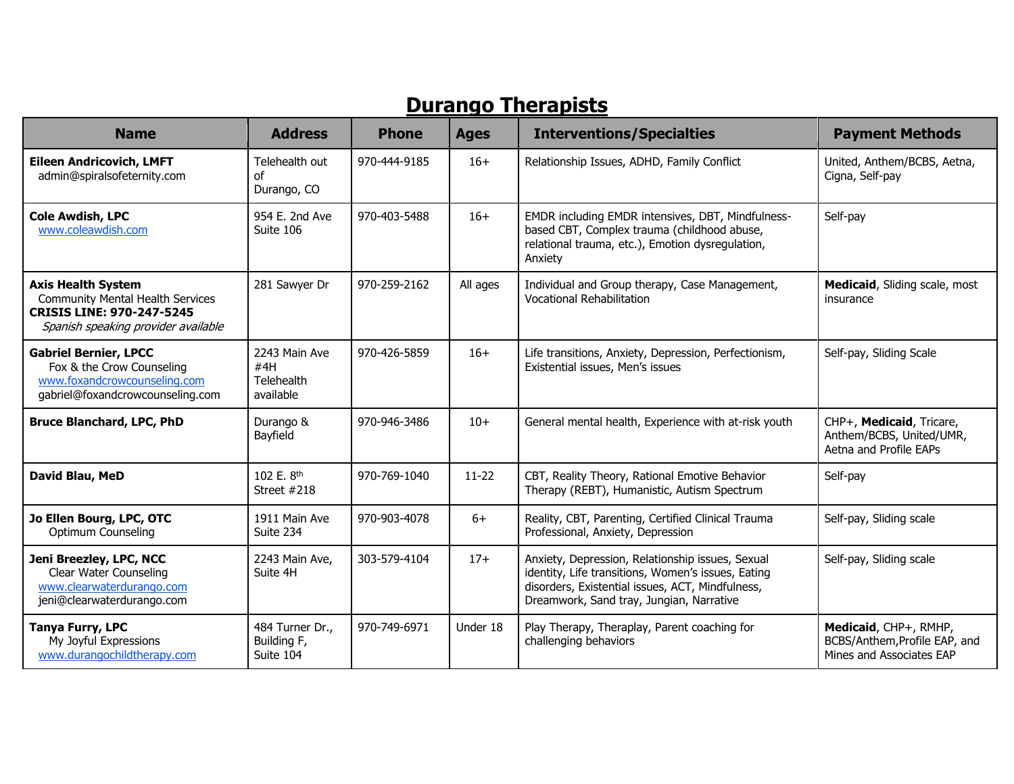### **Durango Therapists**

| <b>Name</b>                                                                                                                                     | <b>Address</b>                                  | <b>Phone</b> | <b>Ages</b> | <b>Interventions/Specialties</b>                                                                                                                                                                       | <b>Payment Methods</b>                                                             |
|-------------------------------------------------------------------------------------------------------------------------------------------------|-------------------------------------------------|--------------|-------------|--------------------------------------------------------------------------------------------------------------------------------------------------------------------------------------------------------|------------------------------------------------------------------------------------|
| <b>Eileen Andricovich, LMFT</b><br>admin@spiralsofeternity.com                                                                                  | Telehealth out<br>οf<br>Durango, CO             | 970-444-9185 | $16+$       | Relationship Issues, ADHD, Family Conflict                                                                                                                                                             | United, Anthem/BCBS, Aetna,<br>Cigna, Self-pay                                     |
| <b>Cole Awdish, LPC</b><br>www.coleawdish.com                                                                                                   | 954 E. 2nd Ave<br>Suite 106                     | 970-403-5488 | $16+$       | EMDR including EMDR intensives, DBT, Mindfulness-<br>based CBT, Complex trauma (childhood abuse,<br>relational trauma, etc.), Emotion dysregulation,<br>Anxiety                                        | Self-pay                                                                           |
| <b>Axis Health System</b><br><b>Community Mental Health Services</b><br><b>CRISIS LINE: 970-247-5245</b><br>Spanish speaking provider available | 281 Sawyer Dr                                   | 970-259-2162 | All ages    | Individual and Group therapy, Case Management,<br>Vocational Rehabilitation                                                                                                                            | Medicaid, Sliding scale, most<br>insurance                                         |
| <b>Gabriel Bernier, LPCC</b><br>Fox & the Crow Counseling<br>www.foxandcrowcounseling.com<br>gabriel@foxandcrowcounseling.com                   | 2243 Main Ave<br>#4H<br>Telehealth<br>available | 970-426-5859 | $16+$       | Life transitions, Anxiety, Depression, Perfectionism,<br>Existential issues, Men's issues                                                                                                              | Self-pay, Sliding Scale                                                            |
| <b>Bruce Blanchard, LPC, PhD</b>                                                                                                                | Durango &<br>Bayfield                           | 970-946-3486 | $10+$       | General mental health, Experience with at-risk youth                                                                                                                                                   | CHP+, Medicaid, Tricare,<br>Anthem/BCBS, United/UMR,<br>Aetna and Profile EAPs     |
| David Blau, MeD                                                                                                                                 | 102 E. 8 <sup>th</sup><br>Street #218           | 970-769-1040 | $11-22$     | CBT, Reality Theory, Rational Emotive Behavior<br>Therapy (REBT), Humanistic, Autism Spectrum                                                                                                          | Self-pay                                                                           |
| Jo Ellen Bourg, LPC, OTC<br>Optimum Counseling                                                                                                  | 1911 Main Ave<br>Suite 234                      | 970-903-4078 | $6+$        | Reality, CBT, Parenting, Certified Clinical Trauma<br>Professional, Anxiety, Depression                                                                                                                | Self-pay, Sliding scale                                                            |
| Jeni Breezley, LPC, NCC<br>Clear Water Counseling<br>www.clearwaterdurango.com<br>jeni@clearwaterdurango.com                                    | 2243 Main Ave,<br>Suite 4H                      | 303-579-4104 | $17+$       | Anxiety, Depression, Relationship issues, Sexual<br>identity, Life transitions, Women's issues, Eating<br>disorders, Existential issues, ACT, Mindfulness,<br>Dreamwork, Sand tray, Jungian, Narrative | Self-pay, Sliding scale                                                            |
| <b>Tanya Furry, LPC</b><br>My Joyful Expressions<br>www.durangochildtherapy.com                                                                 | 484 Turner Dr.,<br>Building F,<br>Suite 104     | 970-749-6971 | Under 18    | Play Therapy, Theraplay, Parent coaching for<br>challenging behaviors                                                                                                                                  | Medicaid, CHP+, RMHP,<br>BCBS/Anthem, Profile EAP, and<br>Mines and Associates EAP |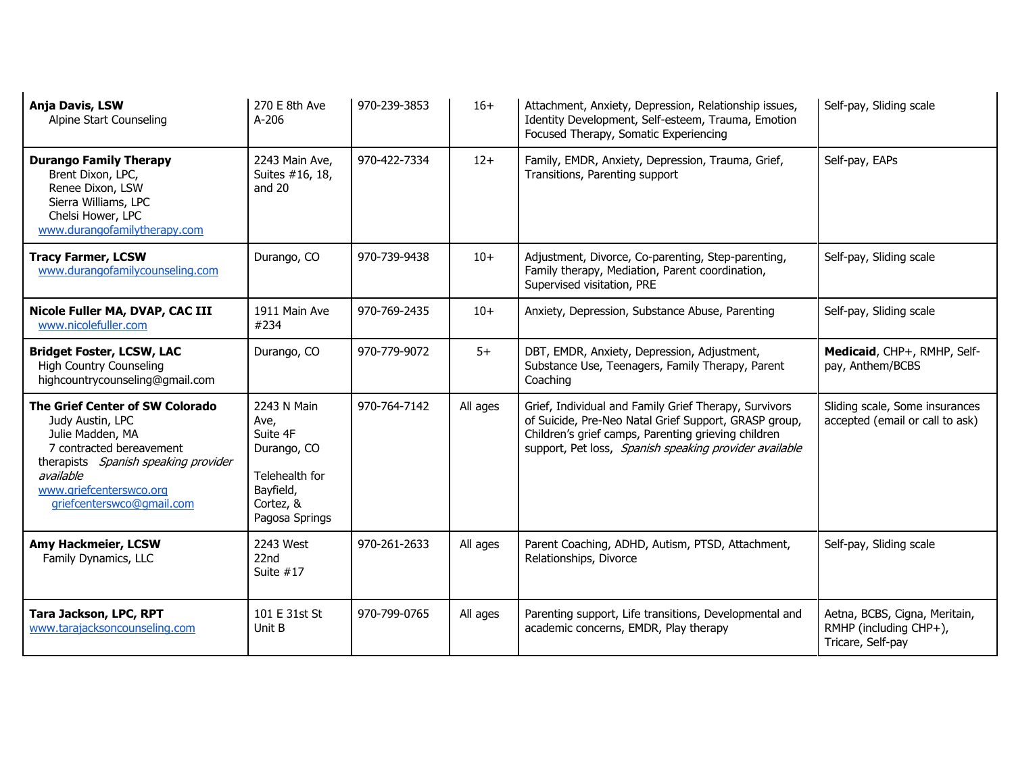| Anja Davis, LSW<br>Alpine Start Counseling                                                                                                                                                                       | 270 E 8th Ave<br>A-206                                                                                       | 970-239-3853 | $16+$    | Attachment, Anxiety, Depression, Relationship issues,<br>Identity Development, Self-esteem, Trauma, Emotion<br>Focused Therapy, Somatic Experiencing                                                                            | Self-pay, Sliding scale                                                      |
|------------------------------------------------------------------------------------------------------------------------------------------------------------------------------------------------------------------|--------------------------------------------------------------------------------------------------------------|--------------|----------|---------------------------------------------------------------------------------------------------------------------------------------------------------------------------------------------------------------------------------|------------------------------------------------------------------------------|
| <b>Durango Family Therapy</b><br>Brent Dixon, LPC,<br>Renee Dixon, LSW<br>Sierra Williams, LPC<br>Chelsi Hower, LPC<br>www.durangofamilytherapy.com                                                              | 2243 Main Ave,<br>Suites #16, 18,<br>and $20$                                                                | 970-422-7334 | $12+$    | Family, EMDR, Anxiety, Depression, Trauma, Grief,<br>Transitions, Parenting support                                                                                                                                             | Self-pay, EAPs                                                               |
| <b>Tracy Farmer, LCSW</b><br>www.durangofamilycounseling.com                                                                                                                                                     | Durango, CO                                                                                                  | 970-739-9438 | $10+$    | Adjustment, Divorce, Co-parenting, Step-parenting,<br>Family therapy, Mediation, Parent coordination,<br>Supervised visitation, PRE                                                                                             | Self-pay, Sliding scale                                                      |
| Nicole Fuller MA, DVAP, CAC III<br>www.nicolefuller.com                                                                                                                                                          | 1911 Main Ave<br>#234                                                                                        | 970-769-2435 | $10+$    | Anxiety, Depression, Substance Abuse, Parenting                                                                                                                                                                                 | Self-pay, Sliding scale                                                      |
| <b>Bridget Foster, LCSW, LAC</b><br><b>High Country Counseling</b><br>highcountrycounseling@gmail.com                                                                                                            | Durango, CO                                                                                                  | 970-779-9072 | $5+$     | DBT, EMDR, Anxiety, Depression, Adjustment,<br>Substance Use, Teenagers, Family Therapy, Parent<br>Coaching                                                                                                                     | Medicaid, CHP+, RMHP, Self-<br>pay, Anthem/BCBS                              |
| The Grief Center of SW Colorado<br>Judy Austin, LPC<br>Julie Madden, MA<br>7 contracted bereavement<br>therapists Spanish speaking provider<br>available<br>www.griefcenterswco.org<br>griefcenterswco@gmail.com | 2243 N Main<br>Ave,<br>Suite 4F<br>Durango, CO<br>Telehealth for<br>Bayfield,<br>Cortez, &<br>Pagosa Springs | 970-764-7142 | All ages | Grief, Individual and Family Grief Therapy, Survivors<br>of Suicide, Pre-Neo Natal Grief Support, GRASP group,<br>Children's grief camps, Parenting grieving children<br>support, Pet loss, Spanish speaking provider available | Sliding scale, Some insurances<br>accepted (email or call to ask)            |
| Amy Hackmeier, LCSW<br>Family Dynamics, LLC                                                                                                                                                                      | 2243 West<br>22nd<br>Suite $#17$                                                                             | 970-261-2633 | All ages | Parent Coaching, ADHD, Autism, PTSD, Attachment,<br>Relationships, Divorce                                                                                                                                                      | Self-pay, Sliding scale                                                      |
| Tara Jackson, LPC, RPT<br>www.tarajacksoncounseling.com                                                                                                                                                          | 101 E 31st St<br>Unit B                                                                                      | 970-799-0765 | All ages | Parenting support, Life transitions, Developmental and<br>academic concerns, EMDR, Play therapy                                                                                                                                 | Aetna, BCBS, Cigna, Meritain,<br>RMHP (including CHP+),<br>Tricare, Self-pay |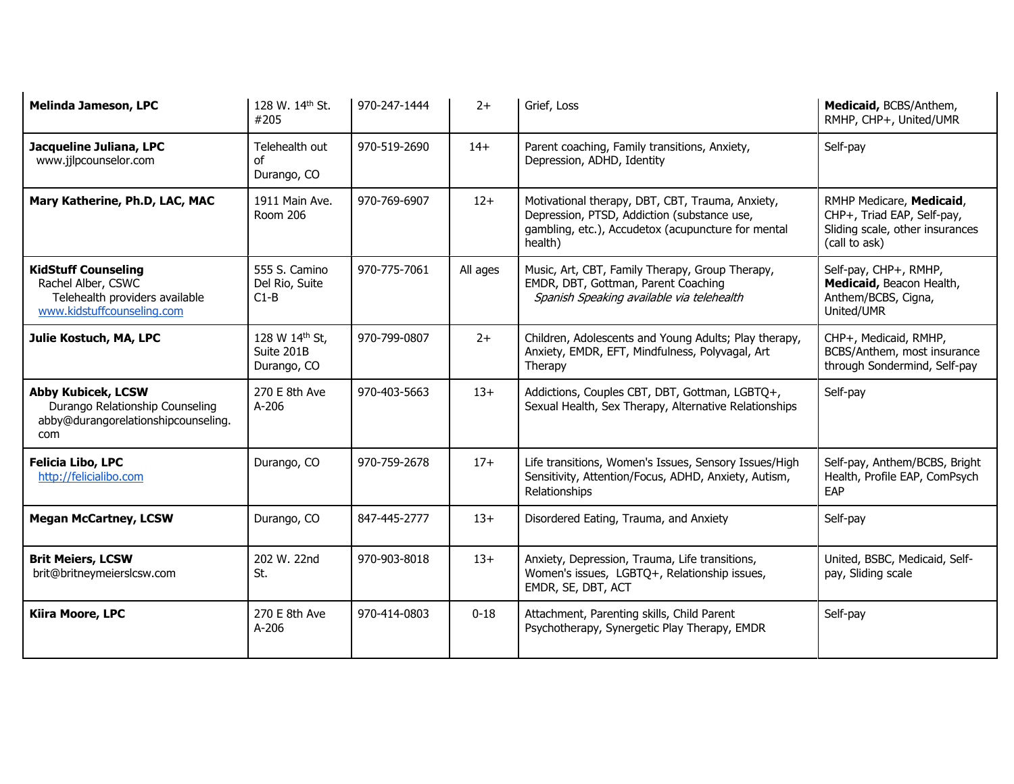| <b>Melinda Jameson, LPC</b>                                                                                      | 128 W. 14th St.<br>#205                     | 970-247-1444 | $2+$     | Grief, Loss                                                                                                                                                      | Medicaid, BCBS/Anthem,<br>RMHP, CHP+, United/UMR                                                           |
|------------------------------------------------------------------------------------------------------------------|---------------------------------------------|--------------|----------|------------------------------------------------------------------------------------------------------------------------------------------------------------------|------------------------------------------------------------------------------------------------------------|
| Jacqueline Juliana, LPC<br>www.jjlpcounselor.com                                                                 | Telehealth out<br>of<br>Durango, CO         | 970-519-2690 | $14+$    | Parent coaching, Family transitions, Anxiety,<br>Depression, ADHD, Identity                                                                                      | Self-pay                                                                                                   |
| Mary Katherine, Ph.D, LAC, MAC                                                                                   | 1911 Main Ave.<br>Room 206                  | 970-769-6907 | $12+$    | Motivational therapy, DBT, CBT, Trauma, Anxiety,<br>Depression, PTSD, Addiction (substance use,<br>gambling, etc.), Accudetox (acupuncture for mental<br>health) | RMHP Medicare, Medicaid,<br>CHP+, Triad EAP, Self-pay,<br>Sliding scale, other insurances<br>(call to ask) |
| <b>KidStuff Counseling</b><br>Rachel Alber, CSWC<br>Telehealth providers available<br>www.kidstuffcounseling.com | 555 S. Camino<br>Del Rio, Suite<br>$C1-B$   | 970-775-7061 | All ages | Music, Art, CBT, Family Therapy, Group Therapy,<br>EMDR, DBT, Gottman, Parent Coaching<br>Spanish Speaking available via telehealth                              | Self-pay, CHP+, RMHP,<br>Medicaid, Beacon Health,<br>Anthem/BCBS, Cigna,<br>United/UMR                     |
| Julie Kostuch, MA, LPC                                                                                           | 128 W 14th St,<br>Suite 201B<br>Durango, CO | 970-799-0807 | $2+$     | Children, Adolescents and Young Adults; Play therapy,<br>Anxiety, EMDR, EFT, Mindfulness, Polyvagal, Art<br>Therapy                                              | CHP+, Medicaid, RMHP,<br>BCBS/Anthem, most insurance<br>through Sondermind, Self-pay                       |
| <b>Abby Kubicek, LCSW</b><br>Durango Relationship Counseling<br>abby@durangorelationshipcounseling.<br>com       | 270 E 8th Ave<br>A-206                      | 970-403-5663 | $13+$    | Addictions, Couples CBT, DBT, Gottman, LGBTQ+,<br>Sexual Health, Sex Therapy, Alternative Relationships                                                          | Self-pay                                                                                                   |
| Felicia Libo, LPC<br>http://felicialibo.com                                                                      | Durango, CO                                 | 970-759-2678 | $17+$    | Life transitions, Women's Issues, Sensory Issues/High<br>Sensitivity, Attention/Focus, ADHD, Anxiety, Autism,<br>Relationships                                   | Self-pay, Anthem/BCBS, Bright<br>Health, Profile EAP, ComPsych<br>EAP                                      |
| <b>Megan McCartney, LCSW</b>                                                                                     | Durango, CO                                 | 847-445-2777 | $13+$    | Disordered Eating, Trauma, and Anxiety                                                                                                                           | Self-pay                                                                                                   |
| <b>Brit Meiers, LCSW</b><br>brit@britneymeierslcsw.com                                                           | 202 W. 22nd<br>St.                          | 970-903-8018 | $13+$    | Anxiety, Depression, Trauma, Life transitions,<br>Women's issues, LGBTQ+, Relationship issues,<br>EMDR, SE, DBT, ACT                                             | United, BSBC, Medicaid, Self-<br>pay, Sliding scale                                                        |
| Kiira Moore, LPC                                                                                                 | 270 E 8th Ave<br>$A-206$                    | 970-414-0803 | $0 - 18$ | Attachment, Parenting skills, Child Parent<br>Psychotherapy, Synergetic Play Therapy, EMDR                                                                       | Self-pay                                                                                                   |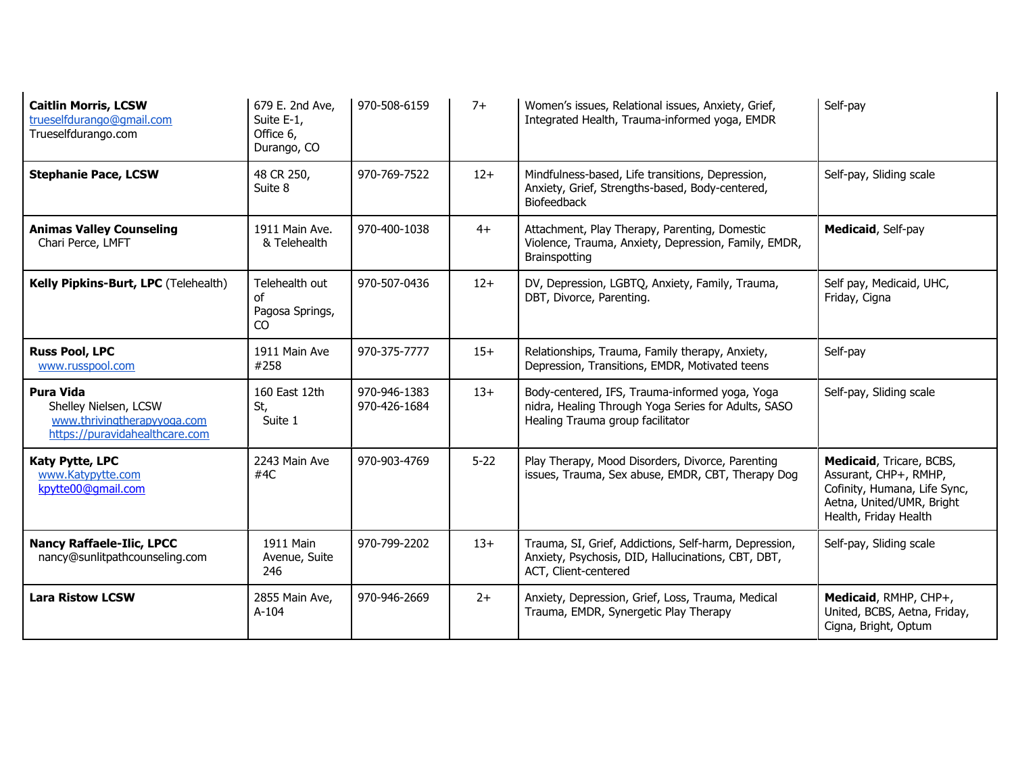| <b>Caitlin Morris, LCSW</b><br>trueselfdurango@gmail.com<br>Trueselfdurango.com                            | 679 E. 2nd Ave,<br>Suite E-1,<br>Office 6,<br>Durango, CO | 970-508-6159                 | $7+$     | Women's issues, Relational issues, Anxiety, Grief,<br>Integrated Health, Trauma-informed yoga, EMDR                                       | Self-pay                                                                                                                                |
|------------------------------------------------------------------------------------------------------------|-----------------------------------------------------------|------------------------------|----------|-------------------------------------------------------------------------------------------------------------------------------------------|-----------------------------------------------------------------------------------------------------------------------------------------|
| <b>Stephanie Pace, LCSW</b>                                                                                | 48 CR 250,<br>Suite 8                                     | 970-769-7522                 | $12+$    | Mindfulness-based, Life transitions, Depression,<br>Anxiety, Grief, Strengths-based, Body-centered,<br>Biofeedback                        | Self-pay, Sliding scale                                                                                                                 |
| <b>Animas Valley Counseling</b><br>Chari Perce, LMFT                                                       | 1911 Main Ave.<br>& Telehealth                            | 970-400-1038                 | $4+$     | Attachment, Play Therapy, Parenting, Domestic<br>Violence, Trauma, Anxiety, Depression, Family, EMDR,<br>Brainspotting                    | Medicaid, Self-pay                                                                                                                      |
| Kelly Pipkins-Burt, LPC (Telehealth)                                                                       | Telehealth out<br>οf<br>Pagosa Springs,<br>CO.            | 970-507-0436                 | $12+$    | DV, Depression, LGBTQ, Anxiety, Family, Trauma,<br>DBT, Divorce, Parenting.                                                               | Self pay, Medicaid, UHC,<br>Friday, Cigna                                                                                               |
| <b>Russ Pool, LPC</b><br>www.russpool.com                                                                  | 1911 Main Ave<br>#258                                     | 970-375-7777                 | $15+$    | Relationships, Trauma, Family therapy, Anxiety,<br>Depression, Transitions, EMDR, Motivated teens                                         | Self-pay                                                                                                                                |
| <b>Pura Vida</b><br>Shelley Nielsen, LCSW<br>www.thrivingtherapyyoga.com<br>https://puravidahealthcare.com | 160 East 12th<br>St,<br>Suite 1                           | 970-946-1383<br>970-426-1684 | $13+$    | Body-centered, IFS, Trauma-informed yoga, Yoga<br>nidra, Healing Through Yoga Series for Adults, SASO<br>Healing Trauma group facilitator | Self-pay, Sliding scale                                                                                                                 |
| <b>Katy Pytte, LPC</b><br>www.Katypytte.com<br>kpytte00@qmail.com                                          | 2243 Main Ave<br>#4 $C$                                   | 970-903-4769                 | $5 - 22$ | Play Therapy, Mood Disorders, Divorce, Parenting<br>issues, Trauma, Sex abuse, EMDR, CBT, Therapy Dog                                     | Medicaid, Tricare, BCBS,<br>Assurant, CHP+, RMHP,<br>Cofinity, Humana, Life Sync,<br>Aetna, United/UMR, Bright<br>Health, Friday Health |
| <b>Nancy Raffaele-Ilic, LPCC</b><br>nancy@sunlitpathcounseling.com                                         | 1911 Main<br>Avenue, Suite<br>246                         | 970-799-2202                 | $13+$    | Trauma, SI, Grief, Addictions, Self-harm, Depression,<br>Anxiety, Psychosis, DID, Hallucinations, CBT, DBT,<br>ACT, Client-centered       | Self-pay, Sliding scale                                                                                                                 |
| <b>Lara Ristow LCSW</b>                                                                                    | 2855 Main Ave,<br>$A-104$                                 | 970-946-2669                 | $2+$     | Anxiety, Depression, Grief, Loss, Trauma, Medical<br>Trauma, EMDR, Synergetic Play Therapy                                                | Medicaid, RMHP, CHP+,<br>United, BCBS, Aetna, Friday,<br>Cigna, Bright, Optum                                                           |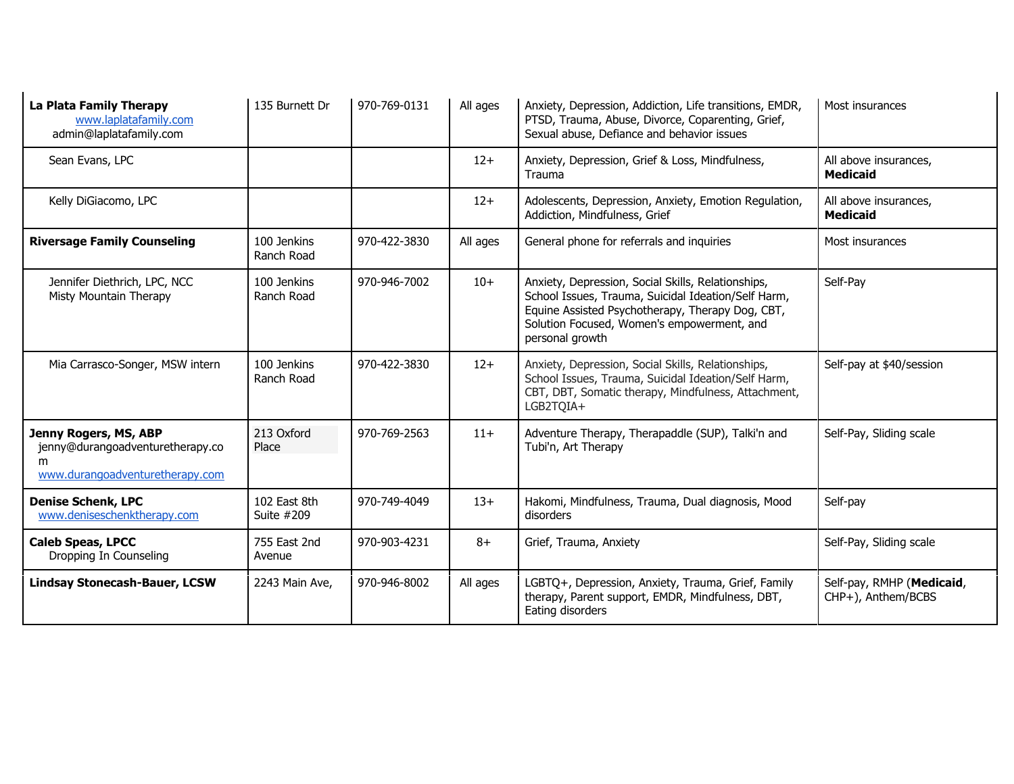| La Plata Family Therapy<br>www.laplatafamily.com<br>admin@laplatafamily.com                       | 135 Burnett Dr             | 970-769-0131 | All ages | Anxiety, Depression, Addiction, Life transitions, EMDR,<br>PTSD, Trauma, Abuse, Divorce, Coparenting, Grief,<br>Sexual abuse, Defiance and behavior issues                                                                     | Most insurances                                 |
|---------------------------------------------------------------------------------------------------|----------------------------|--------------|----------|--------------------------------------------------------------------------------------------------------------------------------------------------------------------------------------------------------------------------------|-------------------------------------------------|
| Sean Evans, LPC                                                                                   |                            |              | $12+$    | Anxiety, Depression, Grief & Loss, Mindfulness,<br>Trauma                                                                                                                                                                      | All above insurances,<br><b>Medicaid</b>        |
| Kelly DiGiacomo, LPC                                                                              |                            |              | $12+$    | Adolescents, Depression, Anxiety, Emotion Regulation,<br>Addiction, Mindfulness, Grief                                                                                                                                         | All above insurances,<br><b>Medicaid</b>        |
| <b>Riversage Family Counseling</b>                                                                | 100 Jenkins<br>Ranch Road  | 970-422-3830 | All ages | General phone for referrals and inquiries                                                                                                                                                                                      | Most insurances                                 |
| Jennifer Diethrich, LPC, NCC<br>Misty Mountain Therapy                                            | 100 Jenkins<br>Ranch Road  | 970-946-7002 | $10+$    | Anxiety, Depression, Social Skills, Relationships,<br>School Issues, Trauma, Suicidal Ideation/Self Harm,<br>Equine Assisted Psychotherapy, Therapy Dog, CBT,<br>Solution Focused, Women's empowerment, and<br>personal growth | Self-Pay                                        |
| Mia Carrasco-Songer, MSW intern                                                                   | 100 Jenkins<br>Ranch Road  | 970-422-3830 | $12+$    | Anxiety, Depression, Social Skills, Relationships,<br>School Issues, Trauma, Suicidal Ideation/Self Harm,<br>CBT, DBT, Somatic therapy, Mindfulness, Attachment,<br>LGB2TQIA+                                                  | Self-pay at \$40/session                        |
| Jenny Rogers, MS, ABP<br>jenny@durangoadventuretherapy.co<br>m<br>www.durangoadventuretherapy.com | 213 Oxford<br>Place        | 970-769-2563 | $11+$    | Adventure Therapy, Therapaddle (SUP), Talki'n and<br>Tubi'n, Art Therapy                                                                                                                                                       | Self-Pay, Sliding scale                         |
| <b>Denise Schenk, LPC</b><br>www.deniseschenktherapy.com                                          | 102 East 8th<br>Suite #209 | 970-749-4049 | $13+$    | Hakomi, Mindfulness, Trauma, Dual diagnosis, Mood<br>disorders                                                                                                                                                                 | Self-pay                                        |
| <b>Caleb Speas, LPCC</b><br>Dropping In Counseling                                                | 755 East 2nd<br>Avenue     | 970-903-4231 | $8+$     | Grief, Trauma, Anxiety                                                                                                                                                                                                         | Self-Pay, Sliding scale                         |
| <b>Lindsay Stonecash-Bauer, LCSW</b>                                                              | 2243 Main Ave,             | 970-946-8002 | All ages | LGBTQ+, Depression, Anxiety, Trauma, Grief, Family<br>therapy, Parent support, EMDR, Mindfulness, DBT,<br>Eating disorders                                                                                                     | Self-pay, RMHP (Medicaid,<br>CHP+), Anthem/BCBS |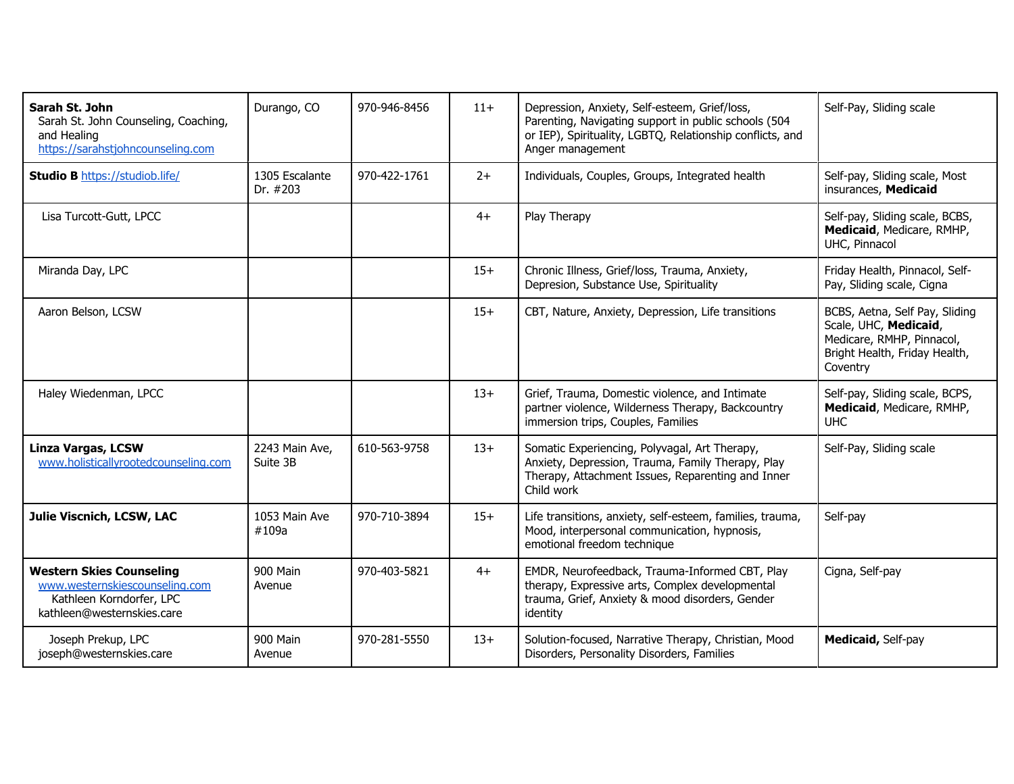| Sarah St. John<br>Sarah St. John Counseling, Coaching,<br>and Healing<br>https://sarahstjohncounseling.com                  | Durango, CO                | 970-946-8456 | $11+$ | Depression, Anxiety, Self-esteem, Grief/loss,<br>Parenting, Navigating support in public schools (504<br>or IEP), Spirituality, LGBTQ, Relationship conflicts, and<br>Anger management | Self-Pay, Sliding scale                                                                                                           |
|-----------------------------------------------------------------------------------------------------------------------------|----------------------------|--------------|-------|----------------------------------------------------------------------------------------------------------------------------------------------------------------------------------------|-----------------------------------------------------------------------------------------------------------------------------------|
| <b>Studio B https://studiob.life/</b>                                                                                       | 1305 Escalante<br>Dr. #203 | 970-422-1761 | $2+$  | Individuals, Couples, Groups, Integrated health                                                                                                                                        | Self-pay, Sliding scale, Most<br>insurances, Medicaid                                                                             |
| Lisa Turcott-Gutt, LPCC                                                                                                     |                            |              | $4+$  | Play Therapy                                                                                                                                                                           | Self-pay, Sliding scale, BCBS,<br>Medicaid, Medicare, RMHP,<br>UHC, Pinnacol                                                      |
| Miranda Day, LPC                                                                                                            |                            |              | $15+$ | Chronic Illness, Grief/loss, Trauma, Anxiety,<br>Depresion, Substance Use, Spirituality                                                                                                | Friday Health, Pinnacol, Self-<br>Pay, Sliding scale, Cigna                                                                       |
| Aaron Belson, LCSW                                                                                                          |                            |              | $15+$ | CBT, Nature, Anxiety, Depression, Life transitions                                                                                                                                     | BCBS, Aetna, Self Pay, Sliding<br>Scale, UHC, Medicaid,<br>Medicare, RMHP, Pinnacol,<br>Bright Health, Friday Health,<br>Coventry |
| Haley Wiedenman, LPCC                                                                                                       |                            |              | $13+$ | Grief, Trauma, Domestic violence, and Intimate<br>partner violence, Wilderness Therapy, Backcountry<br>immersion trips, Couples, Families                                              | Self-pay, Sliding scale, BCPS,<br>Medicaid, Medicare, RMHP,<br><b>UHC</b>                                                         |
| <b>Linza Vargas, LCSW</b><br>www.holisticallyrootedcounseling.com                                                           | 2243 Main Ave,<br>Suite 3B | 610-563-9758 | $13+$ | Somatic Experiencing, Polyvagal, Art Therapy,<br>Anxiety, Depression, Trauma, Family Therapy, Play<br>Therapy, Attachment Issues, Reparenting and Inner<br>Child work                  | Self-Pay, Sliding scale                                                                                                           |
| Julie Viscnich, LCSW, LAC                                                                                                   | 1053 Main Ave<br>#109a     | 970-710-3894 | $15+$ | Life transitions, anxiety, self-esteem, families, trauma,<br>Mood, interpersonal communication, hypnosis,<br>emotional freedom technique                                               | Self-pay                                                                                                                          |
| <b>Western Skies Counseling</b><br>www.westernskiescounseling.com<br>Kathleen Korndorfer, LPC<br>kathleen@westernskies.care | 900 Main<br>Avenue         | 970-403-5821 | $4+$  | EMDR, Neurofeedback, Trauma-Informed CBT, Play<br>therapy, Expressive arts, Complex developmental<br>trauma, Grief, Anxiety & mood disorders, Gender<br>identity                       | Cigna, Self-pay                                                                                                                   |
| Joseph Prekup, LPC<br>joseph@westernskies.care                                                                              | 900 Main<br>Avenue         | 970-281-5550 | $13+$ | Solution-focused, Narrative Therapy, Christian, Mood<br>Disorders, Personality Disorders, Families                                                                                     | Medicaid, Self-pay                                                                                                                |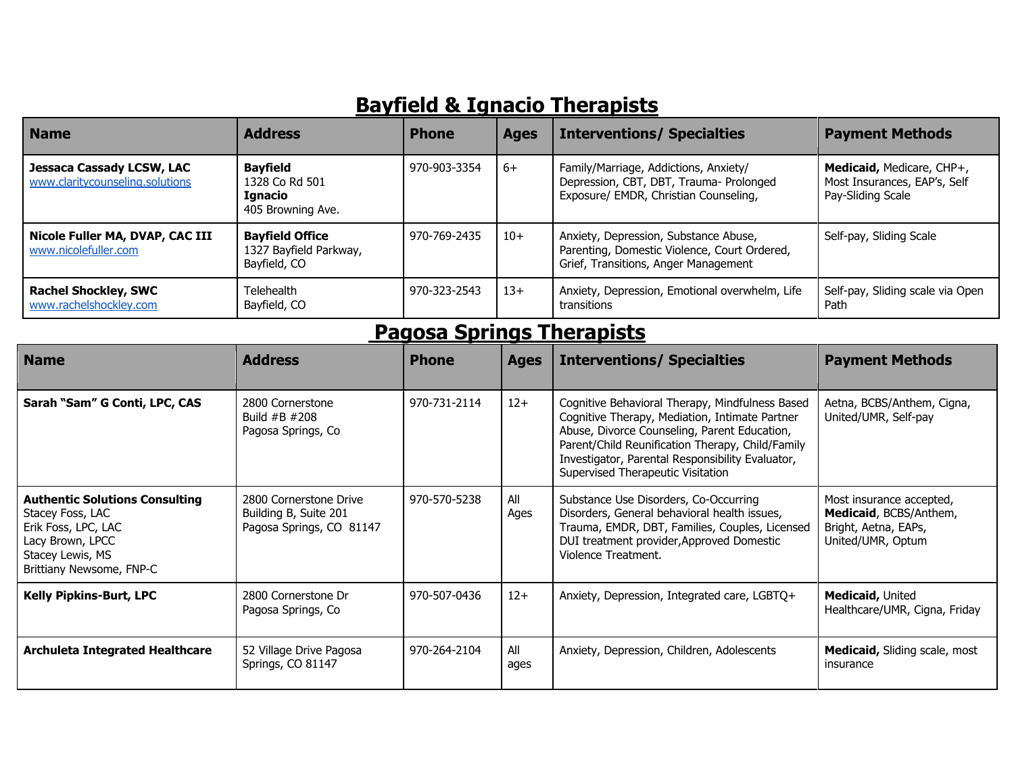## **Bayfield & Ignacio Therapists**

| <b>Name</b>                                                         | <b>Address</b>                                                    | <b>Phone</b> | <b>Ages</b> | <b>Interventions/ Specialties</b>                                                                                             | <b>Payment Methods</b>                                                         |
|---------------------------------------------------------------------|-------------------------------------------------------------------|--------------|-------------|-------------------------------------------------------------------------------------------------------------------------------|--------------------------------------------------------------------------------|
| <b>Jessaca Cassady LCSW, LAC</b><br>www.claritycounseling.solutions | <b>Bayfield</b><br>1328 Co Rd 501<br>Ignacio<br>405 Browning Ave. | 970-903-3354 | -6+         | Family/Marriage, Addictions, Anxiety/<br>Depression, CBT, DBT, Trauma- Prolonged<br>Exposure/ EMDR, Christian Counseling,     | Medicaid, Medicare, CHP+,<br>Most Insurances, EAP's, Self<br>Pay-Sliding Scale |
| Nicole Fuller MA, DVAP, CAC III<br>www.nicolefuller.com             | <b>Bayfield Office</b><br>1327 Bayfield Parkway,<br>Bayfield, CO  | 970-769-2435 | $10+$       | Anxiety, Depression, Substance Abuse,<br>Parenting, Domestic Violence, Court Ordered,<br>Grief, Transitions, Anger Management | Self-pay, Sliding Scale                                                        |
| <b>Rachel Shockley, SWC</b><br>www.rachelshockley.com               | Telehealth<br>Bayfield, CO                                        | 970-323-2543 | $13+$       | Anxiety, Depression, Emotional overwhelm, Life<br>transitions                                                                 | Self-pay, Sliding scale via Open<br>Path                                       |

# **Pagosa Springs Therapists**

| <b>Name</b>                                                                                                                                          | <b>Address</b>                                                              | <b>Phone</b> | <b>Ages</b> | <b>Interventions/ Specialties</b>                                                                                                                                                                                                                                                              | <b>Payment Methods</b>                                                                          |
|------------------------------------------------------------------------------------------------------------------------------------------------------|-----------------------------------------------------------------------------|--------------|-------------|------------------------------------------------------------------------------------------------------------------------------------------------------------------------------------------------------------------------------------------------------------------------------------------------|-------------------------------------------------------------------------------------------------|
| Sarah "Sam" G Conti, LPC, CAS                                                                                                                        | 2800 Cornerstone<br>Build $#B$ $#208$<br>Pagosa Springs, Co                 | 970-731-2114 | $12+$       | Cognitive Behavioral Therapy, Mindfulness Based<br>Cognitive Therapy, Mediation, Intimate Partner<br>Abuse, Divorce Counseling, Parent Education,<br>Parent/Child Reunification Therapy, Child/Family<br>Investigator, Parental Responsibility Evaluator,<br>Supervised Therapeutic Visitation | Aetna, BCBS/Anthem, Cigna,<br>United/UMR, Self-pay                                              |
| <b>Authentic Solutions Consulting</b><br>Stacey Foss, LAC<br>Erik Foss, LPC, LAC<br>Lacy Brown, LPCC<br>Stacey Lewis, MS<br>Brittiany Newsome, FNP-C | 2800 Cornerstone Drive<br>Building B, Suite 201<br>Pagosa Springs, CO 81147 | 970-570-5238 | All<br>Ages | Substance Use Disorders, Co-Occurring<br>Disorders, General behavioral health issues,<br>Trauma, EMDR, DBT, Families, Couples, Licensed<br>DUI treatment provider, Approved Domestic<br>Violence Treatment.                                                                                    | Most insurance accepted,<br>Medicaid, BCBS/Anthem,<br>Bright, Aetna, EAPs,<br>United/UMR, Optum |
| <b>Kelly Pipkins-Burt, LPC</b>                                                                                                                       | 2800 Cornerstone Dr<br>Pagosa Springs, Co                                   | 970-507-0436 | $12+$       | Anxiety, Depression, Integrated care, LGBTQ+                                                                                                                                                                                                                                                   | Medicaid, United<br>Healthcare/UMR, Cigna, Friday                                               |
| Archuleta Integrated Healthcare                                                                                                                      | 52 Village Drive Pagosa<br>Springs, CO 81147                                | 970-264-2104 | All<br>ages | Anxiety, Depression, Children, Adolescents                                                                                                                                                                                                                                                     | <b>Medicaid, Sliding scale, most</b><br>insurance                                               |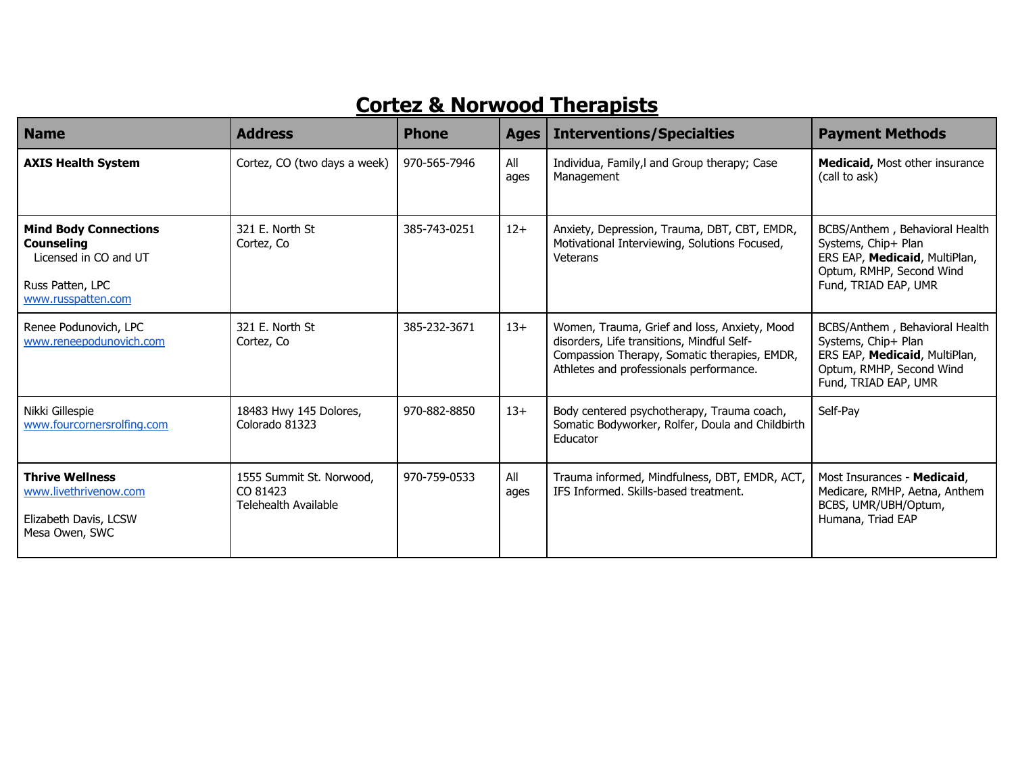### **Cortez & Norwood Therapists**

| <b>Name</b>                                                                                                          | <b>Address</b>                                               | <b>Phone</b> | <b>Ages</b> | <b>Interventions/Specialties</b>                                                                                                                                                      | <b>Payment Methods</b>                                                                                                                     |
|----------------------------------------------------------------------------------------------------------------------|--------------------------------------------------------------|--------------|-------------|---------------------------------------------------------------------------------------------------------------------------------------------------------------------------------------|--------------------------------------------------------------------------------------------------------------------------------------------|
| <b>AXIS Health System</b>                                                                                            | Cortez, CO (two days a week)                                 | 970-565-7946 | All<br>ages | Individua, Family, I and Group therapy; Case<br>Management                                                                                                                            | Medicaid, Most other insurance<br>(call to ask)                                                                                            |
| <b>Mind Body Connections</b><br><b>Counseling</b><br>Licensed in CO and UT<br>Russ Patten, LPC<br>www.russpatten.com | 321 E. North St<br>Cortez, Co                                | 385-743-0251 | $12+$       | Anxiety, Depression, Trauma, DBT, CBT, EMDR,<br>Motivational Interviewing, Solutions Focused,<br>Veterans                                                                             | BCBS/Anthem, Behavioral Health<br>Systems, Chip+ Plan<br>ERS EAP, Medicaid, MultiPlan,<br>Optum, RMHP, Second Wind<br>Fund, TRIAD EAP, UMR |
| Renee Podunovich, LPC<br>www.reneepodunovich.com                                                                     | 321 E. North St<br>Cortez, Co                                | 385-232-3671 | $13+$       | Women, Trauma, Grief and loss, Anxiety, Mood<br>disorders, Life transitions, Mindful Self-<br>Compassion Therapy, Somatic therapies, EMDR,<br>Athletes and professionals performance. | BCBS/Anthem, Behavioral Health<br>Systems, Chip+ Plan<br>ERS EAP, Medicaid, MultiPlan,<br>Optum, RMHP, Second Wind<br>Fund, TRIAD EAP, UMR |
| Nikki Gillespie<br>www.fourcornersrolfing.com                                                                        | 18483 Hwy 145 Dolores,<br>Colorado 81323                     | 970-882-8850 | $13+$       | Body centered psychotherapy, Trauma coach,<br>Somatic Bodyworker, Rolfer, Doula and Childbirth<br>Educator                                                                            | Self-Pay                                                                                                                                   |
| <b>Thrive Wellness</b><br>www.livethrivenow.com<br>Elizabeth Davis, LCSW<br>Mesa Owen, SWC                           | 1555 Summit St. Norwood,<br>CO 81423<br>Telehealth Available | 970-759-0533 | All<br>ages | Trauma informed, Mindfulness, DBT, EMDR, ACT,<br>IFS Informed. Skills-based treatment.                                                                                                | Most Insurances - Medicaid,<br>Medicare, RMHP, Aetna, Anthem<br>BCBS, UMR/UBH/Optum,<br>Humana, Triad EAP                                  |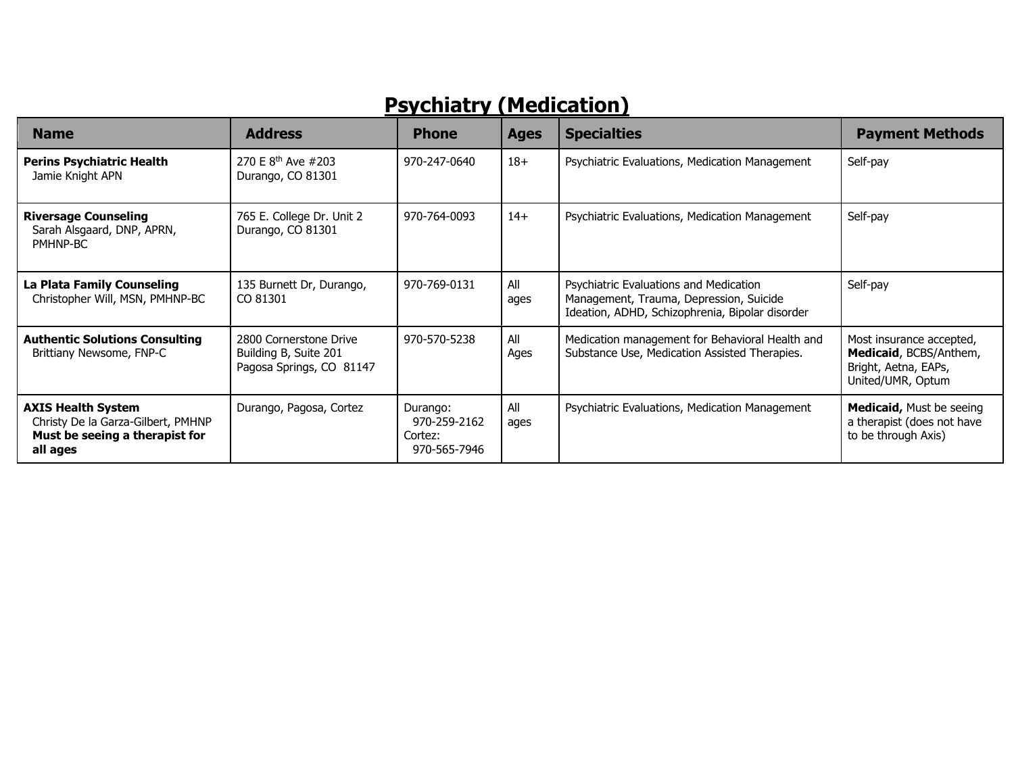## **Psychiatry (Medication)**

| <b>Name</b>                                                                                                   | <b>Address</b>                                                              | <b>Phone</b>                                        | <b>Ages</b> | <b>Specialties</b>                                                                                                                   | <b>Payment Methods</b>                                                                          |
|---------------------------------------------------------------------------------------------------------------|-----------------------------------------------------------------------------|-----------------------------------------------------|-------------|--------------------------------------------------------------------------------------------------------------------------------------|-------------------------------------------------------------------------------------------------|
| <b>Perins Psychiatric Health</b><br>Jamie Knight APN                                                          | 270 E 8 <sup>th</sup> Ave #203<br>Durango, CO 81301                         | 970-247-0640                                        | $18+$       | Psychiatric Evaluations, Medication Management                                                                                       | Self-pay                                                                                        |
| <b>Riversage Counseling</b><br>Sarah Alsgaard, DNP, APRN,<br>PMHNP-BC                                         | 765 E. College Dr. Unit 2<br>Durango, CO 81301                              | 970-764-0093                                        | $14+$       | Psychiatric Evaluations, Medication Management                                                                                       | Self-pay                                                                                        |
| La Plata Family Counseling<br>Christopher Will, MSN, PMHNP-BC                                                 | 135 Burnett Dr, Durango,<br>CO 81301                                        | 970-769-0131                                        | All<br>ages | Psychiatric Evaluations and Medication<br>Management, Trauma, Depression, Suicide<br>Ideation, ADHD, Schizophrenia, Bipolar disorder | Self-pay                                                                                        |
| <b>Authentic Solutions Consulting</b><br>Brittiany Newsome, FNP-C                                             | 2800 Cornerstone Drive<br>Building B, Suite 201<br>Pagosa Springs, CO 81147 | 970-570-5238                                        | All<br>Ages | Medication management for Behavioral Health and<br>Substance Use, Medication Assisted Therapies.                                     | Most insurance accepted,<br>Medicaid, BCBS/Anthem,<br>Bright, Aetna, EAPs,<br>United/UMR, Optum |
| <b>AXIS Health System</b><br>Christy De la Garza-Gilbert, PMHNP<br>Must be seeing a therapist for<br>all ages | Durango, Pagosa, Cortez                                                     | Durango:<br>970-259-2162<br>Cortez:<br>970-565-7946 | All<br>ages | Psychiatric Evaluations, Medication Management                                                                                       | <b>Medicaid, Must be seeing</b><br>a therapist (does not have<br>to be through Axis)            |